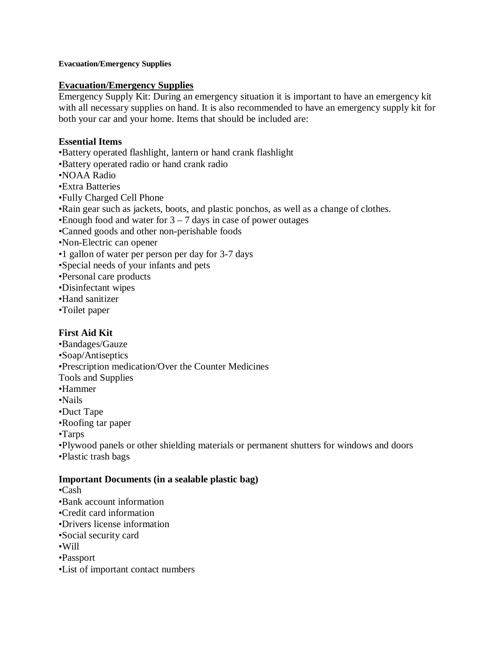#### **Evacuation/Emergency Supplies**

#### **Evacuation/Emergency Supplies**

Emergency Supply Kit: During an emergency situation it is important to have an emergency kit with all necessary supplies on hand. It is also recommended to have an emergency supply kit for both your car and your home. Items that should be included are:

## **Essential Items**

- •Battery operated flashlight, lantern or hand crank flashlight
- •Battery operated radio or hand crank radio
- •NOAA Radio
- •Extra Batteries
- •Fully Charged Cell Phone
- •Rain gear such as jackets, boots, and plastic ponchos, as well as a change of clothes.
- •Enough food and water for  $3 7$  days in case of power outages
- •Canned goods and other non-perishable foods
- •Non-Electric can opener
- •1 gallon of water per person per day for 3-7 days
- •Special needs of your infants and pets
- •Personal care products
- •Disinfectant wipes
- •Hand sanitizer
- •Toilet paper

# **First Aid Kit**

- •Bandages/Gauze
- •Soap/Antiseptics
- •Prescription medication/Over the Counter Medicines
- Tools and Supplies
- •Hammer
- •Nails
- •Duct Tape
- •Roofing tar paper
- •Tarps
- •Plywood panels or other shielding materials or permanent shutters for windows and doors
- •Plastic trash bags

#### **Important Documents (in a sealable plastic bag)**

- •Cash
- •Bank account information
- •Credit card information
- •Drivers license information
- •Social security card
- •Will
- •Passport
- •List of important contact numbers